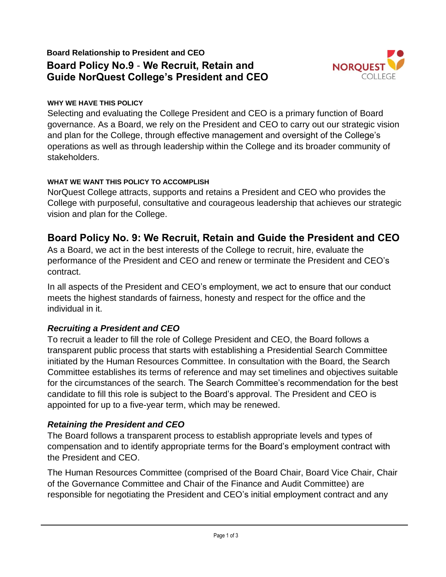# **Board Relationship to President and CEO Board Policy No.9** - **We Recruit, Retain and Guide NorQuest College's President and CEO**



#### **WHY WE HAVE THIS POLICY**

Selecting and evaluating the College President and CEO is a primary function of Board governance. As a Board, we rely on the President and CEO to carry out our strategic vision and plan for the College, through effective management and oversight of the College's operations as well as through leadership within the College and its broader community of stakeholders.

#### **WHAT WE WANT THIS POLICY TO ACCOMPLISH**

NorQuest College attracts, supports and retains a President and CEO who provides the College with purposeful, consultative and courageous leadership that achieves our strategic vision and plan for the College.

# **Board Policy No. 9: We Recruit, Retain and Guide the President and CEO**

As a Board, we act in the best interests of the College to recruit, hire, evaluate the performance of the President and CEO and renew or terminate the President and CEO's contract.

In all aspects of the President and CEO's employment, we act to ensure that our conduct meets the highest standards of fairness, honesty and respect for the office and the individual in it.

## *Recruiting a President and CEO*

To recruit a leader to fill the role of College President and CEO, the Board follows a transparent public process that starts with establishing a Presidential Search Committee initiated by the Human Resources Committee. In consultation with the Board, the Search Committee establishes its terms of reference and may set timelines and objectives suitable for the circumstances of the search. The Search Committee's recommendation for the best candidate to fill this role is subject to the Board's approval. The President and CEO is appointed for up to a five-year term, which may be renewed.

## *Retaining the President and CEO*

The Board follows a transparent process to establish appropriate levels and types of compensation and to identify appropriate terms for the Board's employment contract with the President and CEO.

The Human Resources Committee (comprised of the Board Chair, Board Vice Chair, Chair of the Governance Committee and Chair of the Finance and Audit Committee) are responsible for negotiating the President and CEO's initial employment contract and any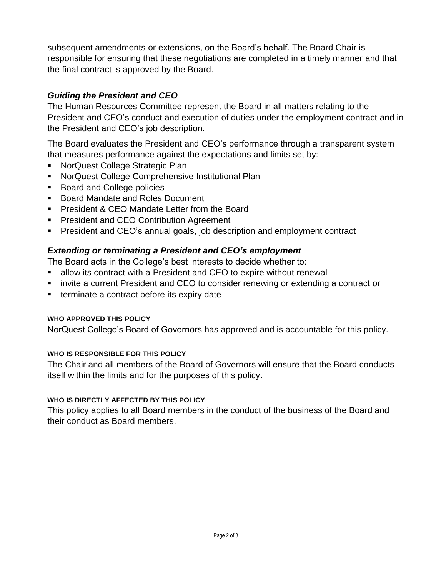subsequent amendments or extensions, on the Board's behalf. The Board Chair is responsible for ensuring that these negotiations are completed in a timely manner and that the final contract is approved by the Board.

## *Guiding the President and CEO*

The Human Resources Committee represent the Board in all matters relating to the President and CEO's conduct and execution of duties under the employment contract and in the President and CEO's job description.

The Board evaluates the President and CEO's performance through a transparent system that measures performance against the expectations and limits set by:

- **NorQuest College Strategic Plan**
- **NorQuest College Comprehensive Institutional Plan**
- Board and College policies
- Board Mandate and Roles Document
- **President & CEO Mandate Letter from the Board**
- **President and CEO Contribution Agreement**
- **President and CEO's annual goals, job description and employment contract**

## *Extending or terminating a President and CEO's employment*

The Board acts in the College's best interests to decide whether to:

- allow its contract with a President and CEO to expire without renewal
- **EXED FE** invite a current President and CEO to consider renewing or extending a contract or
- terminate a contract before its expiry date

### **WHO APPROVED THIS POLICY**

NorQuest College's Board of Governors has approved and is accountable for this policy.

### **WHO IS RESPONSIBLE FOR THIS POLICY**

The Chair and all members of the Board of Governors will ensure that the Board conducts itself within the limits and for the purposes of this policy.

#### **WHO IS DIRECTLY AFFECTED BY THIS POLICY**

This policy applies to all Board members in the conduct of the business of the Board and their conduct as Board members.